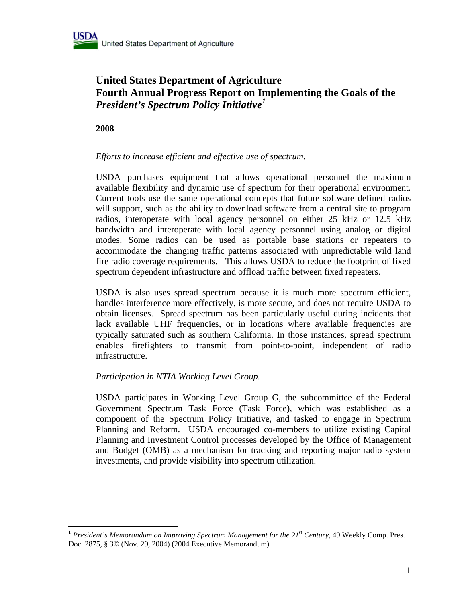

# **United States Department of Agriculture Fourth Annual Progress Report on Implementing the Goals of the**  *President's Spectrum Policy Initiative[1](#page-0-0)*

**2008** 

 $\overline{a}$ 

# *Efforts to increase efficient and effective use of spectrum.*

USDA purchases equipment that allows operational personnel the maximum available flexibility and dynamic use of spectrum for their operational environment. Current tools use the same operational concepts that future software defined radios will support, such as the ability to download software from a central site to program radios, interoperate with local agency personnel on either 25 kHz or 12.5 kHz bandwidth and interoperate with local agency personnel using analog or digital modes. Some radios can be used as portable base stations or repeaters to accommodate the changing traffic patterns associated with unpredictable wild land fire radio coverage requirements. This allows USDA to reduce the footprint of fixed spectrum dependent infrastructure and offload traffic between fixed repeaters.

USDA is also uses spread spectrum because it is much more spectrum efficient, handles interference more effectively, is more secure, and does not require USDA to obtain licenses. Spread spectrum has been particularly useful during incidents that lack available UHF frequencies, or in locations where available frequencies are typically saturated such as southern California. In those instances, spread spectrum enables firefighters to transmit from point-to-point, independent of radio infrastructure.

# *Participation in NTIA Working Level Group.*

USDA participates in Working Level Group G, the subcommittee of the Federal Government Spectrum Task Force (Task Force), which was established as a component of the Spectrum Policy Initiative, and tasked to engage in Spectrum Planning and Reform. USDA encouraged co-members to utilize existing Capital Planning and Investment Control processes developed by the Office of Management and Budget (OMB) as a mechanism for tracking and reporting major radio system investments, and provide visibility into spectrum utilization.

<span id="page-0-0"></span><sup>&</sup>lt;sup>1</sup> President's Memorandum on Improving Spectrum Management for the 21<sup>st</sup> Century, 49 Weekly Comp. Pres. Doc. 2875, § 3© (Nov. 29, 2004) (2004 Executive Memorandum)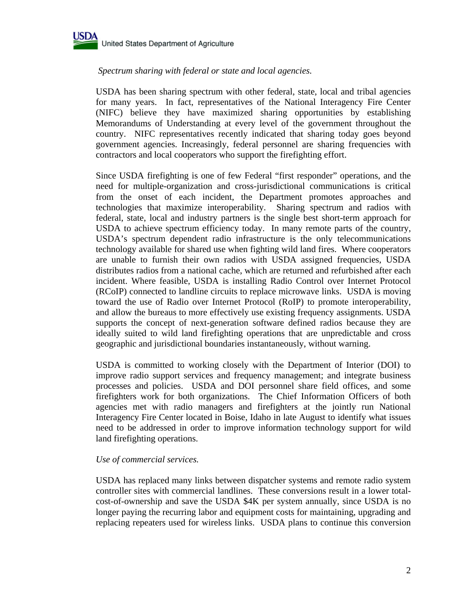

# *Spectrum sharing with federal or state and local agencies.*

USDA has been sharing spectrum with other federal, state, local and tribal agencies for many years. In fact, representatives of the National Interagency Fire Center (NIFC) believe they have maximized sharing opportunities by establishing Memorandums of Understanding at every level of the government throughout the country. NIFC representatives recently indicated that sharing today goes beyond government agencies. Increasingly, federal personnel are sharing frequencies with contractors and local cooperators who support the firefighting effort.

Since USDA firefighting is one of few Federal "first responder" operations, and the need for multiple-organization and cross-jurisdictional communications is critical from the onset of each incident, the Department promotes approaches and technologies that maximize interoperability. Sharing spectrum and radios with federal, state, local and industry partners is the single best short-term approach for USDA to achieve spectrum efficiency today. In many remote parts of the country, USDA's spectrum dependent radio infrastructure is the only telecommunications technology available for shared use when fighting wild land fires. Where cooperators are unable to furnish their own radios with USDA assigned frequencies, USDA distributes radios from a national cache, which are returned and refurbished after each incident. Where feasible, USDA is installing Radio Control over Internet Protocol (RCoIP) connected to landline circuits to replace microwave links. USDA is moving toward the use of Radio over Internet Protocol (RoIP) to promote interoperability, and allow the bureaus to more effectively use existing frequency assignments. USDA supports the concept of next-generation software defined radios because they are ideally suited to wild land firefighting operations that are unpredictable and cross geographic and jurisdictional boundaries instantaneously, without warning.

USDA is committed to working closely with the Department of Interior (DOI) to improve radio support services and frequency management; and integrate business processes and policies. USDA and DOI personnel share field offices, and some firefighters work for both organizations. The Chief Information Officers of both agencies met with radio managers and firefighters at the jointly run National Interagency Fire Center located in Boise, Idaho in late August to identify what issues need to be addressed in order to improve information technology support for wild land firefighting operations.

# *Use of commercial services.*

USDA has replaced many links between dispatcher systems and remote radio system controller sites with commercial landlines. These conversions result in a lower totalcost-of-ownership and save the USDA \$4K per system annually, since USDA is no longer paying the recurring labor and equipment costs for maintaining, upgrading and replacing repeaters used for wireless links. USDA plans to continue this conversion